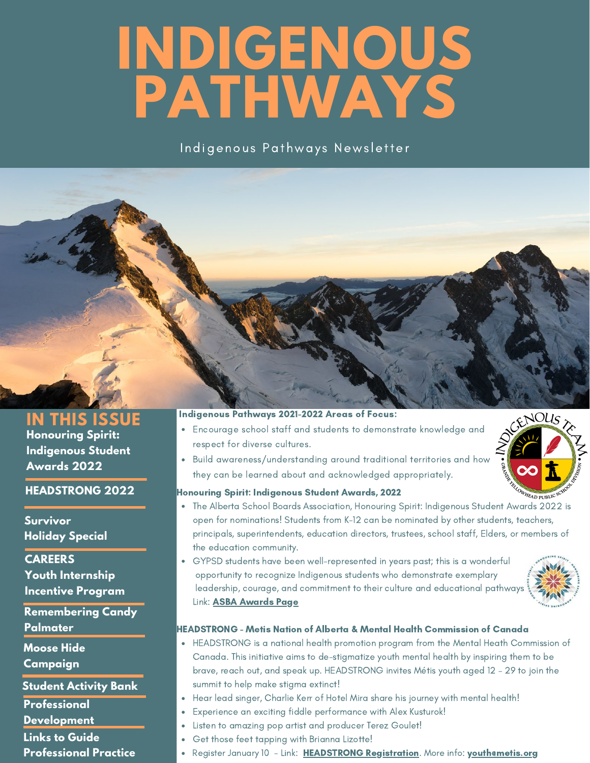# **INDIGENOUS PATHWAYS**

Indigenous Pathways Newsletter

# **Honouring Spirit: Indigenous Student Awards 2022 IN THIS ISSUE**

**HEADSTRONG 2022**

**Survivor Holiday Special**

**CAREERS Youth Internship Incentive Program**

**Remembering Candy Palmater**

**Moose Hide**

**Campaign**

**Student Activity Bank**

**Professional**

**Development**

**Links to Guide**

**Professional Practice**

# Indigenous Pathways 2021-2022 Areas of Focus:

- Encourage school staff and students to demonstrate knowledge and respect for diverse cultures.
- Build awareness/understanding around traditional territories and how they can be learned about and acknowledged appropriately.



# Honouring Spirit: Indigenous Student Awards, 2022

- The Alberta School Boards Association, Honouring Spirit: Indigenous Student Awards 2022 is open for nominations! Students from K-12 can be nominated by other students, teachers, principals, superintendents, education directors, trustees, school staff, Elders, or members of the education community.
- GYPSD students have been well-represented in years past; this is a wonderful opportunity to recognize Indigenous students who demonstrate exemplary leadership, courage, and commitment to their culture and educational pathways. Link: **ASBA Awards Page**



# HEADSTRONG - Metis Nation of Alberta & Mental Health Commission of Canada

- HEADSTRONG is a national health promotion program from the Mental Heath Commission of Canada. This initiative aims to de-stigmatize youth mental health by inspiring them to be brave, reach out, and speak up. HEADSTRONG invites Métis youth aged 12 – 29 to join the summit to help make stigma extinct!
- Hear lead singer, Charlie Kerr of Hotel Mira share his journey with mental health!
- Experience an exciting fiddle performance with Alex Kusturok!
	- Listen to amazing pop artist and producer Terez Goulet!
	- Get those feet tapping with Brianna Lizotte!
	- Register January 10 Link: HEADSTRONG Registration. More info: youthemetis.org